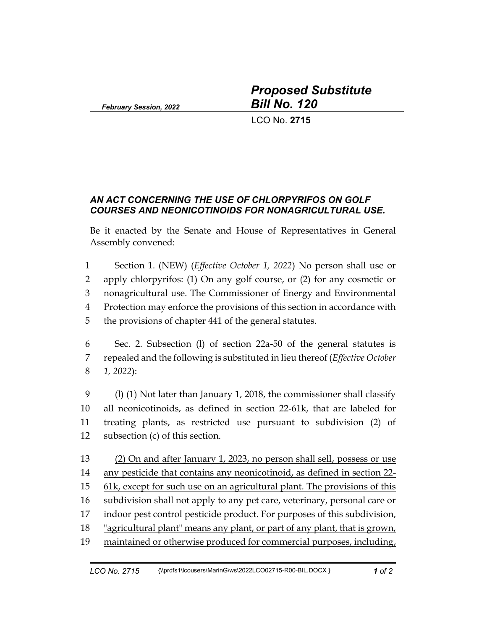*February Session, 2022*

*Proposed Substitute Bill No. 120*

LCO No. **2715**

## *AN ACT CONCERNING THE USE OF CHLORPYRIFOS ON GOLF COURSES AND NEONICOTINOIDS FOR NONAGRICULTURAL USE.*

Be it enacted by the Senate and House of Representatives in General Assembly convened:

 Section 1. (NEW) (*Effective October 1, 2022*) No person shall use or apply chlorpyrifos: (1) On any golf course, or (2) for any cosmetic or nonagricultural use. The Commissioner of Energy and Environmental Protection may enforce the provisions of this section in accordance with the provisions of chapter 441 of the general statutes.

 Sec. 2. Subsection (l) of section 22a-50 of the general statutes is repealed and the following is substituted in lieu thereof (*Effective October 1, 2022*):

 (l) (1) Not later than January 1, 2018, the commissioner shall classify all neonicotinoids, as defined in section 22-61k, that are labeled for treating plants, as restricted use pursuant to subdivision (2) of subsection (c) of this section.

 (2) On and after January 1, 2023, no person shall sell, possess or use any pesticide that contains any neonicotinoid, as defined in section 22- 61k, except for such use on an agricultural plant. The provisions of this subdivision shall not apply to any pet care, veterinary, personal care or 17 indoor pest control pesticide product. For purposes of this subdivision, "agricultural plant" means any plant, or part of any plant, that is grown, maintained or otherwise produced for commercial purposes, including,